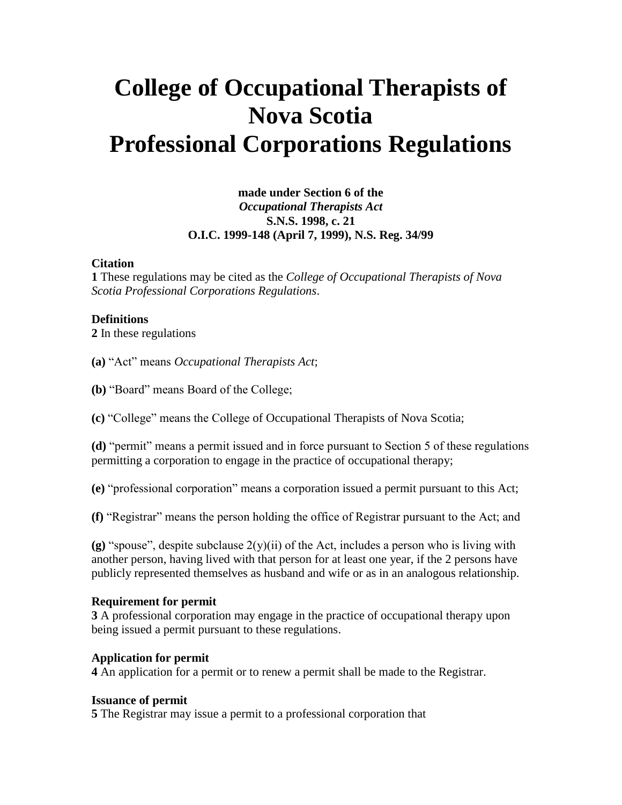# **College of Occupational Therapists of Nova Scotia Professional Corporations Regulations**

## **made under Section 6 of the**  *Occupational Therapists Act* **S.N.S. 1998, c. 21 O.I.C. 1999-148 (April 7, 1999), N.S. Reg. 34/99**

#### **Citation**

**1** These regulations may be cited as the *College of Occupational Therapists of Nova Scotia Professional Corporations Regulations*.

#### **Definitions**

**2** In these regulations

**(a)** "Act" means *Occupational Therapists Act*;

**(b)** "Board" means Board of the College;

**(c)** "College" means the College of Occupational Therapists of Nova Scotia;

**(d)** "permit" means a permit issued and in force pursuant to Section 5 of these regulations permitting a corporation to engage in the practice of occupational therapy;

**(e)** "professional corporation" means a corporation issued a permit pursuant to this Act;

**(f)** "Registrar" means the person holding the office of Registrar pursuant to the Act; and

**(g)** "spouse", despite subclause  $2(y)(ii)$  of the Act, includes a person who is living with another person, having lived with that person for at least one year, if the 2 persons have publicly represented themselves as husband and wife or as in an analogous relationship.

#### **Requirement for permit**

**3** A professional corporation may engage in the practice of occupational therapy upon being issued a permit pursuant to these regulations.

#### **Application for permit**

**4** An application for a permit or to renew a permit shall be made to the Registrar.

#### **Issuance of permit**

**5** The Registrar may issue a permit to a professional corporation that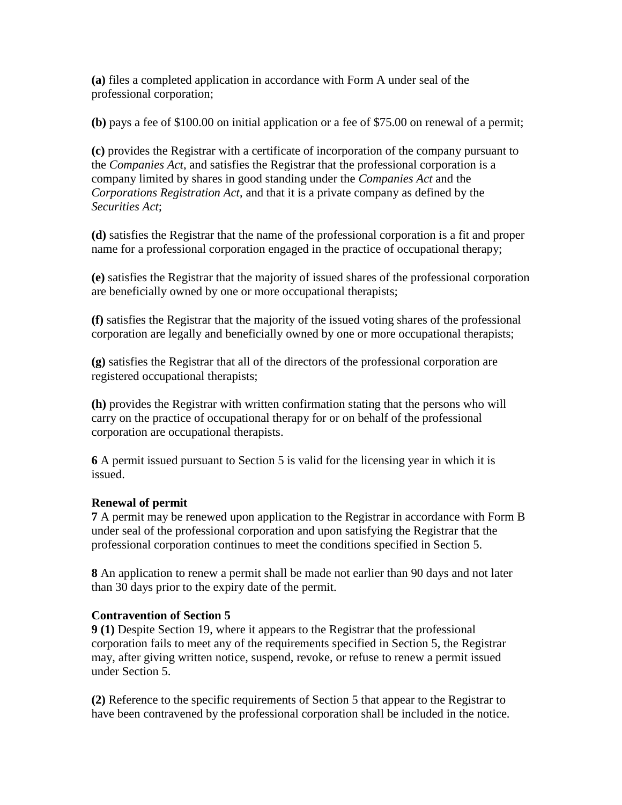**(a)** files a completed application in accordance with Form A under seal of the professional corporation;

**(b)** pays a fee of \$100.00 on initial application or a fee of \$75.00 on renewal of a permit;

**(c)** provides the Registrar with a certificate of incorporation of the company pursuant to the *Companies Act*, and satisfies the Registrar that the professional corporation is a company limited by shares in good standing under the *Companies Act* and the *Corporations Registration Act*, and that it is a private company as defined by the *Securities Act*;

**(d)** satisfies the Registrar that the name of the professional corporation is a fit and proper name for a professional corporation engaged in the practice of occupational therapy;

**(e)** satisfies the Registrar that the majority of issued shares of the professional corporation are beneficially owned by one or more occupational therapists;

**(f)** satisfies the Registrar that the majority of the issued voting shares of the professional corporation are legally and beneficially owned by one or more occupational therapists;

**(g)** satisfies the Registrar that all of the directors of the professional corporation are registered occupational therapists;

**(h)** provides the Registrar with written confirmation stating that the persons who will carry on the practice of occupational therapy for or on behalf of the professional corporation are occupational therapists.

**6** A permit issued pursuant to Section 5 is valid for the licensing year in which it is issued.

## **Renewal of permit**

**7** A permit may be renewed upon application to the Registrar in accordance with Form B under seal of the professional corporation and upon satisfying the Registrar that the professional corporation continues to meet the conditions specified in Section 5.

**8** An application to renew a permit shall be made not earlier than 90 days and not later than 30 days prior to the expiry date of the permit.

## **Contravention of Section 5**

**9 (1)** Despite Section 19, where it appears to the Registrar that the professional corporation fails to meet any of the requirements specified in Section 5, the Registrar may, after giving written notice, suspend, revoke, or refuse to renew a permit issued under Section 5.

**(2)** Reference to the specific requirements of Section 5 that appear to the Registrar to have been contravened by the professional corporation shall be included in the notice.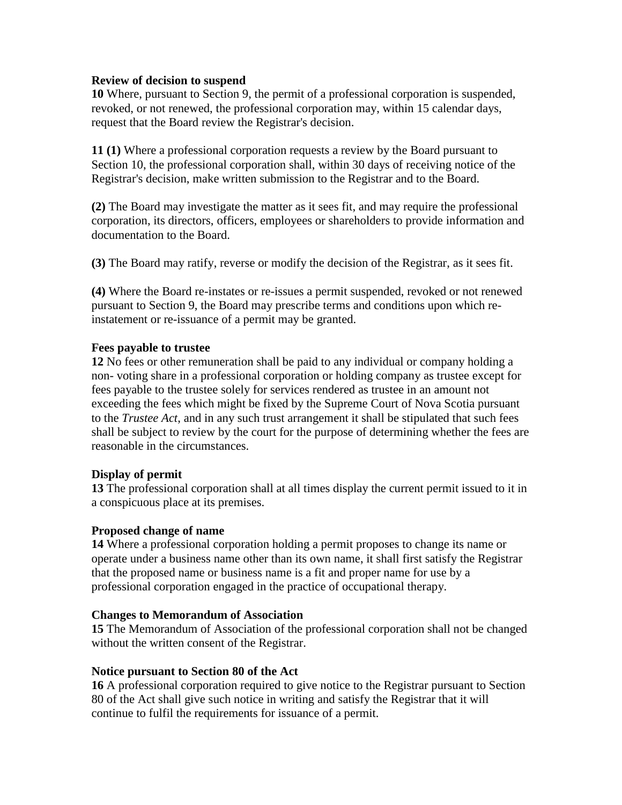#### **Review of decision to suspend**

**10** Where, pursuant to Section 9, the permit of a professional corporation is suspended, revoked, or not renewed, the professional corporation may, within 15 calendar days, request that the Board review the Registrar's decision.

**11 (1)** Where a professional corporation requests a review by the Board pursuant to Section 10, the professional corporation shall, within 30 days of receiving notice of the Registrar's decision, make written submission to the Registrar and to the Board.

**(2)** The Board may investigate the matter as it sees fit, and may require the professional corporation, its directors, officers, employees or shareholders to provide information and documentation to the Board.

**(3)** The Board may ratify, reverse or modify the decision of the Registrar, as it sees fit.

**(4)** Where the Board re-instates or re-issues a permit suspended, revoked or not renewed pursuant to Section 9, the Board may prescribe terms and conditions upon which reinstatement or re-issuance of a permit may be granted.

#### **Fees payable to trustee**

**12** No fees or other remuneration shall be paid to any individual or company holding a non- voting share in a professional corporation or holding company as trustee except for fees payable to the trustee solely for services rendered as trustee in an amount not exceeding the fees which might be fixed by the Supreme Court of Nova Scotia pursuant to the *Trustee Act*, and in any such trust arrangement it shall be stipulated that such fees shall be subject to review by the court for the purpose of determining whether the fees are reasonable in the circumstances.

## **Display of permit**

**13** The professional corporation shall at all times display the current permit issued to it in a conspicuous place at its premises.

#### **Proposed change of name**

**14** Where a professional corporation holding a permit proposes to change its name or operate under a business name other than its own name, it shall first satisfy the Registrar that the proposed name or business name is a fit and proper name for use by a professional corporation engaged in the practice of occupational therapy.

#### **Changes to Memorandum of Association**

**15** The Memorandum of Association of the professional corporation shall not be changed without the written consent of the Registrar.

#### **Notice pursuant to Section 80 of the Act**

**16** A professional corporation required to give notice to the Registrar pursuant to Section 80 of the Act shall give such notice in writing and satisfy the Registrar that it will continue to fulfil the requirements for issuance of a permit.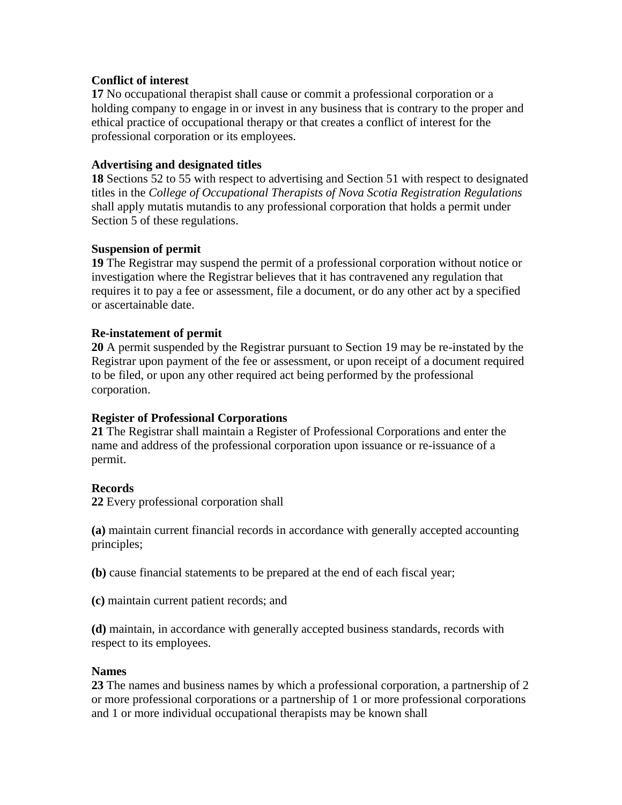#### **Conflict of interest**

**17** No occupational therapist shall cause or commit a professional corporation or a holding company to engage in or invest in any business that is contrary to the proper and ethical practice of occupational therapy or that creates a conflict of interest for the professional corporation or its employees.

#### **Advertising and designated titles**

**18** Sections 52 to 55 with respect to advertising and Section 51 with respect to designated titles in the *College of Occupational Therapists of Nova Scotia Registration Regulations* shall apply mutatis mutandis to any professional corporation that holds a permit under Section 5 of these regulations.

#### **Suspension of permit**

**19** The Registrar may suspend the permit of a professional corporation without notice or investigation where the Registrar believes that it has contravened any regulation that requires it to pay a fee or assessment, file a document, or do any other act by a specified or ascertainable date.

#### **Re-instatement of permit**

**20** A permit suspended by the Registrar pursuant to Section 19 may be re-instated by the Registrar upon payment of the fee or assessment, or upon receipt of a document required to be filed, or upon any other required act being performed by the professional corporation.

#### **Register of Professional Corporations**

**21** The Registrar shall maintain a Register of Professional Corporations and enter the name and address of the professional corporation upon issuance or re-issuance of a permit.

#### **Records**

**22** Every professional corporation shall

**(a)** maintain current financial records in accordance with generally accepted accounting principles;

**(b)** cause financial statements to be prepared at the end of each fiscal year;

**(c)** maintain current patient records; and

**(d)** maintain, in accordance with generally accepted business standards, records with respect to its employees.

#### **Names**

**23** The names and business names by which a professional corporation, a partnership of 2 or more professional corporations or a partnership of 1 or more professional corporations and 1 or more individual occupational therapists may be known shall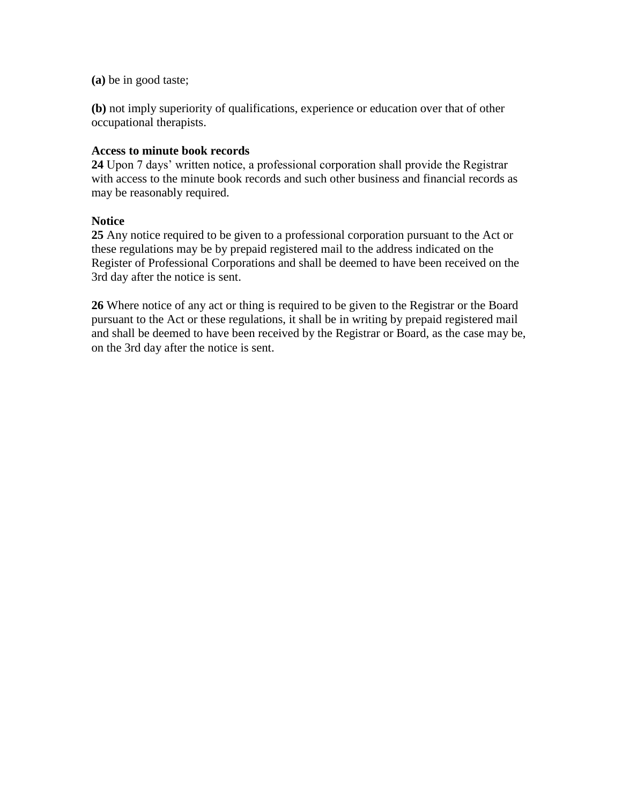**(a)** be in good taste;

**(b)** not imply superiority of qualifications, experience or education over that of other occupational therapists.

#### **Access to minute book records**

**24** Upon 7 days' written notice, a professional corporation shall provide the Registrar with access to the minute book records and such other business and financial records as may be reasonably required.

#### **Notice**

**25** Any notice required to be given to a professional corporation pursuant to the Act or these regulations may be by prepaid registered mail to the address indicated on the Register of Professional Corporations and shall be deemed to have been received on the 3rd day after the notice is sent.

**26** Where notice of any act or thing is required to be given to the Registrar or the Board pursuant to the Act or these regulations, it shall be in writing by prepaid registered mail and shall be deemed to have been received by the Registrar or Board, as the case may be, on the 3rd day after the notice is sent.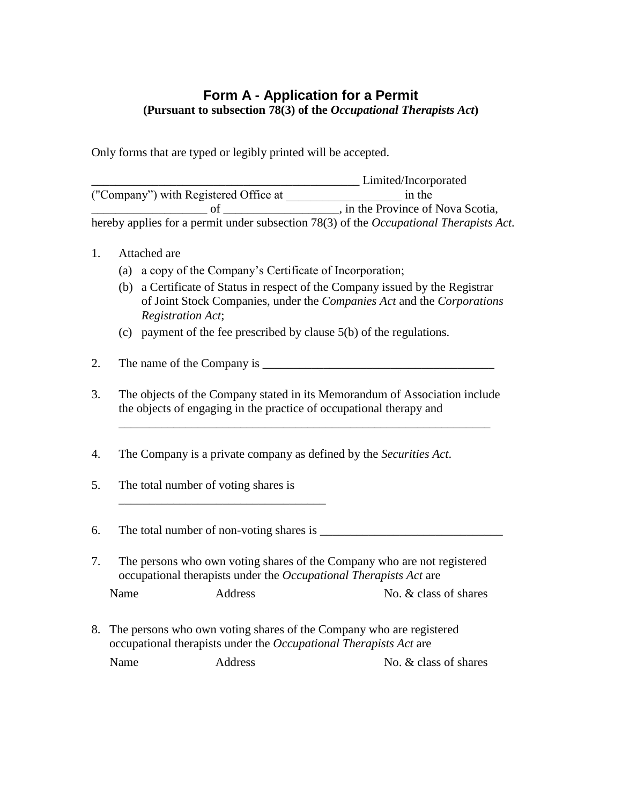# **Form A - Application for a Permit (Pursuant to subsection 78(3) of the** *Occupational Therapists Act***)**

Only forms that are typed or legibly printed will be accepted.

|                                                                                                | Limited/Incorporated              |  |
|------------------------------------------------------------------------------------------------|-----------------------------------|--|
| ("Company") with Registered Office at                                                          | in the                            |  |
|                                                                                                | , in the Province of Nova Scotia, |  |
| hereby applies for a permit under subsection 78(3) of the <i>Occupational Therapists Act</i> . |                                   |  |

- 1. Attached are
	- (a) a copy of the Company's Certificate of Incorporation;
	- (b) a Certificate of Status in respect of the Company issued by the Registrar of Joint Stock Companies, under the *Companies Act* and the *Corporations Registration Act*;
	- (c) payment of the fee prescribed by clause 5(b) of the regulations.
- 2. The name of the Company is \_\_\_\_\_\_\_\_\_\_\_\_\_\_\_\_\_\_\_\_\_\_\_\_\_\_\_\_\_\_\_\_\_\_\_\_\_\_
- 3. The objects of the Company stated in its Memorandum of Association include the objects of engaging in the practice of occupational therapy and

\_\_\_\_\_\_\_\_\_\_\_\_\_\_\_\_\_\_\_\_\_\_\_\_\_\_\_\_\_\_\_\_\_\_\_\_\_\_\_\_\_\_\_\_\_\_\_\_\_\_\_\_\_\_\_\_\_\_\_\_\_

- 4. The Company is a private company as defined by the *Securities Act*.
- 5. The total number of voting shares is

\_\_\_\_\_\_\_\_\_\_\_\_\_\_\_\_\_\_\_\_\_\_\_\_\_\_\_\_\_\_\_\_\_\_

6. The total number of non-voting shares is \_\_\_\_\_\_\_\_\_\_\_\_\_\_\_\_\_\_\_\_\_\_\_\_\_\_\_\_\_\_

- 7. The persons who own voting shares of the Company who are not registered occupational therapists under the *Occupational Therapists Act* are Name Address No. & class of shares
- 8. The persons who own voting shares of the Company who are registered occupational therapists under the *Occupational Therapists Act* are

Name Address No. & class of shares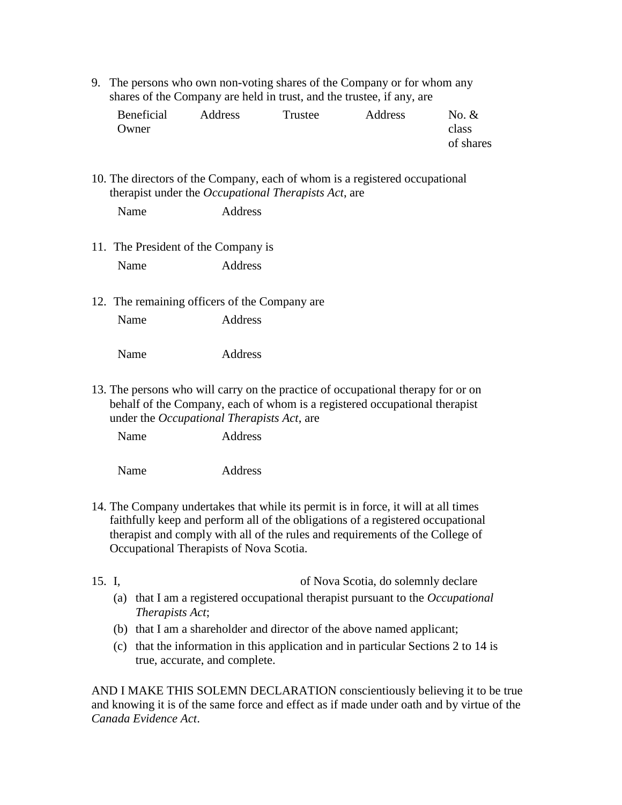9. The persons who own non-voting shares of the Company or for whom any shares of the Company are held in trust, and the trustee, if any, are

| Beneficial | Address | Trustee | Address | No. $&$   |
|------------|---------|---------|---------|-----------|
| Owner      |         |         |         | class     |
|            |         |         |         | of shares |

10. The directors of the Company, each of whom is a registered occupational therapist under the *Occupational Therapists Act*, are

- 11. The President of the Company is Name Address
- 12. The remaining officers of the Company are Name Address

Name Address

13. The persons who will carry on the practice of occupational therapy for or on behalf of the Company, each of whom is a registered occupational therapist under the *Occupational Therapists Act*, are

Name Address

Name Address

- 14. The Company undertakes that while its permit is in force, it will at all times faithfully keep and perform all of the obligations of a registered occupational therapist and comply with all of the rules and requirements of the College of Occupational Therapists of Nova Scotia.
- 15. I, of Nova Scotia, do solemnly declare
	- (a) that I am a registered occupational therapist pursuant to the *Occupational Therapists Act*;
	- (b) that I am a shareholder and director of the above named applicant;
	- (c) that the information in this application and in particular Sections 2 to 14 is true, accurate, and complete.

AND I MAKE THIS SOLEMN DECLARATION conscientiously believing it to be true and knowing it is of the same force and effect as if made under oath and by virtue of the *Canada Evidence Act*.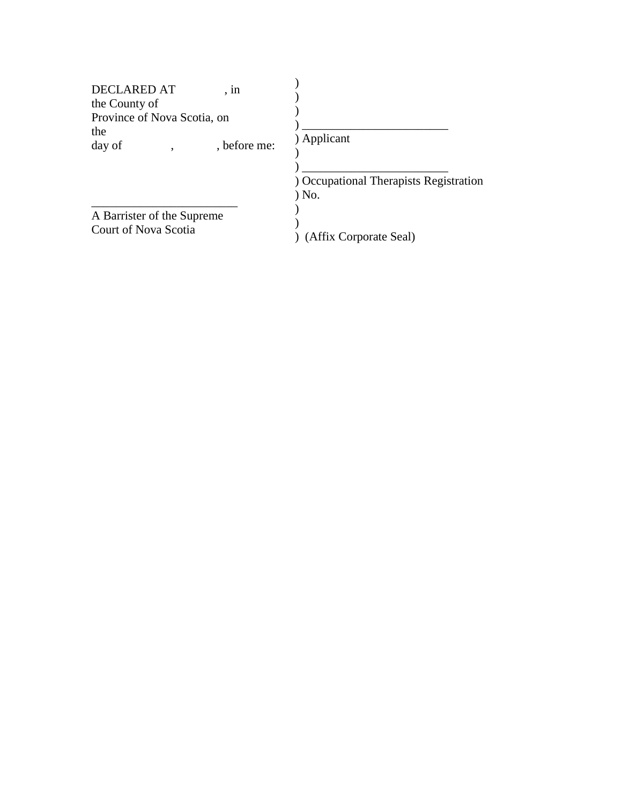| <b>DECLARED AT</b><br>the County of<br>Province of Nova Scotia, on<br>the | , 1n         |                                                                |
|---------------------------------------------------------------------------|--------------|----------------------------------------------------------------|
| day of                                                                    | , before me: | ) Applicant<br>) Occupational Therapists Registration<br>) No. |
| A Barrister of the Supreme<br>Court of Nova Scotia                        |              | (Affix Corporate Seal)                                         |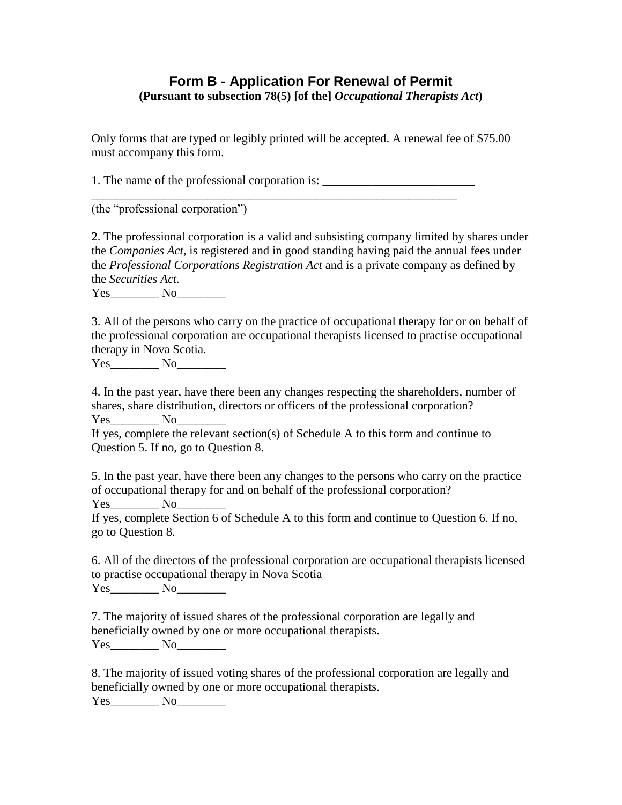## **Form B - Application For Renewal of Permit (Pursuant to subsection 78(5) [of the]** *Occupational Therapists Act***)**

Only forms that are typed or legibly printed will be accepted. A renewal fee of \$75.00 must accompany this form.

1. The name of the professional corporation is:

\_\_\_\_\_\_\_\_\_\_\_\_\_\_\_\_\_\_\_\_\_\_\_\_\_\_\_\_\_\_\_\_\_\_\_\_\_\_\_\_\_\_\_\_\_\_\_\_\_\_\_\_\_\_\_\_\_\_\_\_

(the "professional corporation")

2. The professional corporation is a valid and subsisting company limited by shares under the *Companies Act*, is registered and in good standing having paid the annual fees under the *Professional Corporations Registration Act* and is a private company as defined by the *Securities Act.*

Yes\_\_\_\_\_\_\_\_ No\_\_\_\_\_\_\_\_

3. All of the persons who carry on the practice of occupational therapy for or on behalf of the professional corporation are occupational therapists licensed to practise occupational therapy in Nova Scotia.

Yes\_\_\_\_\_\_\_\_ No\_\_\_\_\_\_\_\_

4. In the past year, have there been any changes respecting the shareholders, number of shares, share distribution, directors or officers of the professional corporation? Yes No

If yes, complete the relevant section(s) of Schedule A to this form and continue to Question 5. If no, go to Question 8.

5. In the past year, have there been any changes to the persons who carry on the practice of occupational therapy for and on behalf of the professional corporation? Yes No

If yes, complete Section 6 of Schedule A to this form and continue to Question 6. If no, go to Question 8.

6. All of the directors of the professional corporation are occupational therapists licensed to practise occupational therapy in Nova Scotia Yes No

7. The majority of issued shares of the professional corporation are legally and beneficially owned by one or more occupational therapists. Yes\_\_\_\_\_\_\_\_ No\_\_\_\_\_\_\_\_

8. The majority of issued voting shares of the professional corporation are legally and beneficially owned by one or more occupational therapists.

Yes\_\_\_\_\_\_\_\_ No\_\_\_\_\_\_\_\_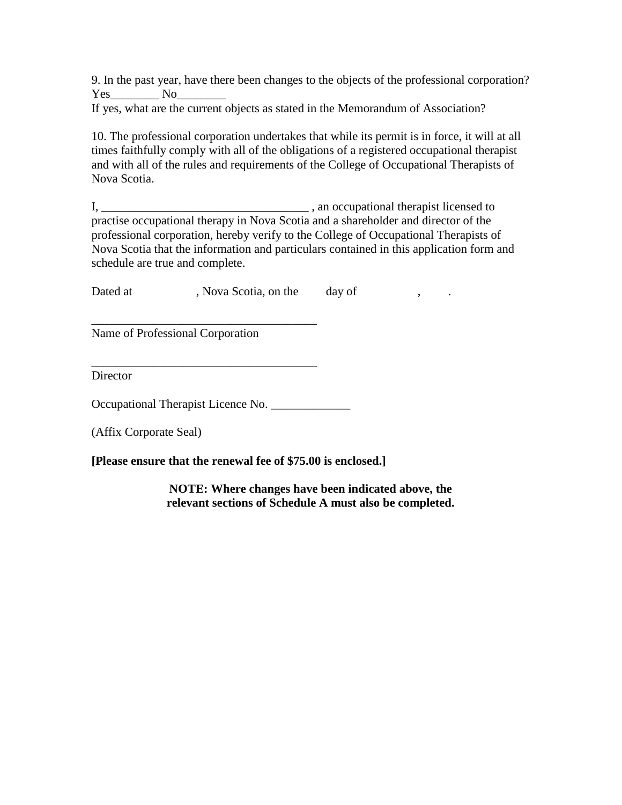9. In the past year, have there been changes to the objects of the professional corporation? Yes No

If yes, what are the current objects as stated in the Memorandum of Association?

10. The professional corporation undertakes that while its permit is in force, it will at all times faithfully comply with all of the obligations of a registered occupational therapist and with all of the rules and requirements of the College of Occupational Therapists of Nova Scotia.

I, \_\_\_\_\_\_\_\_\_\_\_\_\_\_\_\_\_\_\_\_\_\_\_\_\_\_\_\_\_\_\_\_\_\_ , an occupational therapist licensed to practise occupational therapy in Nova Scotia and a shareholder and director of the professional corporation, hereby verify to the College of Occupational Therapists of Nova Scotia that the information and particulars contained in this application form and schedule are true and complete.

Dated at , Nova Scotia, on the day of , .

\_\_\_\_\_\_\_\_\_\_\_\_\_\_\_\_\_\_\_\_\_\_\_\_\_\_\_\_\_\_\_\_\_\_\_\_\_ Name of Professional Corporation

**Director** 

Occupational Therapist Licence No.

\_\_\_\_\_\_\_\_\_\_\_\_\_\_\_\_\_\_\_\_\_\_\_\_\_\_\_\_\_\_\_\_\_\_\_\_\_

(Affix Corporate Seal)

**[Please ensure that the renewal fee of \$75.00 is enclosed.]**

**NOTE: Where changes have been indicated above, the relevant sections of Schedule A must also be completed.**